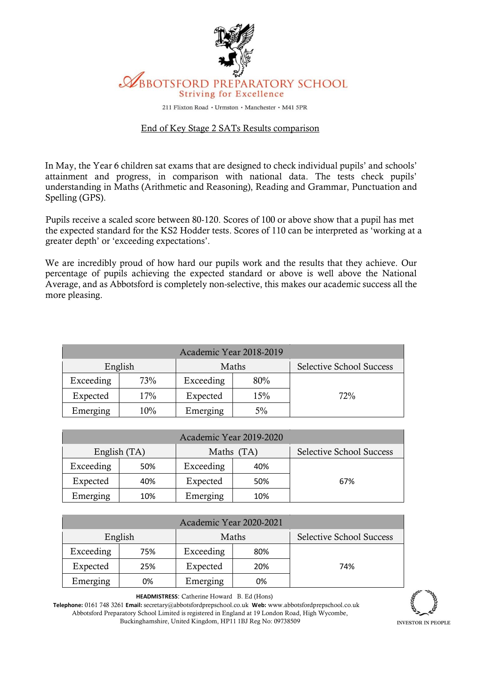

211 Flixton Road · Urmston · Manchester · M41 5PR

## End of Key Stage 2 SATs Results comparison

In May, the Year 6 children sat exams that are designed to check individual pupils' and schools' attainment and progress, in comparison with national data. The tests check pupils' understanding in Maths (Arithmetic and Reasoning), Reading and Grammar, Punctuation and Spelling (GPS).

Pupils receive a scaled score between 80-120. Scores of 100 or above show that a pupil has met the expected standard for the KS2 Hodder tests. Scores of 110 can be interpreted as 'working at a greater depth' or 'exceeding expectations'.

We are incredibly proud of how hard our pupils work and the results that they achieve. Our percentage of pupils achieving the expected standard or above is well above the National Average, and as Abbotsford is completely non-selective, this makes our academic success all the more pleasing.

| Academic Year 2018-2019 |     |           |     |                                 |  |  |  |  |
|-------------------------|-----|-----------|-----|---------------------------------|--|--|--|--|
| English                 |     | Maths     |     | <b>Selective School Success</b> |  |  |  |  |
| Exceeding               | 73% | Exceeding | 80% |                                 |  |  |  |  |
| Expected                | 17% | Expected  | 15% | 72%                             |  |  |  |  |
| Emerging                | 10% | Emerging  | 5%  |                                 |  |  |  |  |

| Academic Year 2019-2020 |     |            |     |                                 |  |  |  |  |
|-------------------------|-----|------------|-----|---------------------------------|--|--|--|--|
| English (TA)            |     | Maths (TA) |     | <b>Selective School Success</b> |  |  |  |  |
| Exceeding               | 50% | Exceeding  | 40% |                                 |  |  |  |  |
| Expected                | 40% | Expected   | 50% | 67%                             |  |  |  |  |
| Emerging                | 10% | Emerging   | 10% |                                 |  |  |  |  |

| Academic Year 2020-2021 |     |           |     |                          |  |  |  |  |
|-------------------------|-----|-----------|-----|--------------------------|--|--|--|--|
| English                 |     | Maths     |     | Selective School Success |  |  |  |  |
| Exceeding               | 75% | Exceeding | 80% |                          |  |  |  |  |
| Expected                | 25% | Expected  | 20% | 74%                      |  |  |  |  |
| Emerging                | 0%  | Emerging  | 0%  |                          |  |  |  |  |

**HEADMISTRESS**: Catherine Howard B. Ed (Hons)

**Telephone:** 0161 748 3261 **Email:** secretary@abbotsfordprepschool.co.uk **Web:** www.abbotsfordprepschool.co.uk Abbotsford Preparatory School Limited is registered in England at 19 London Road, High Wycombe, Buckinghamshire, United Kingdom, HP11 1BJ Reg No: 09738509